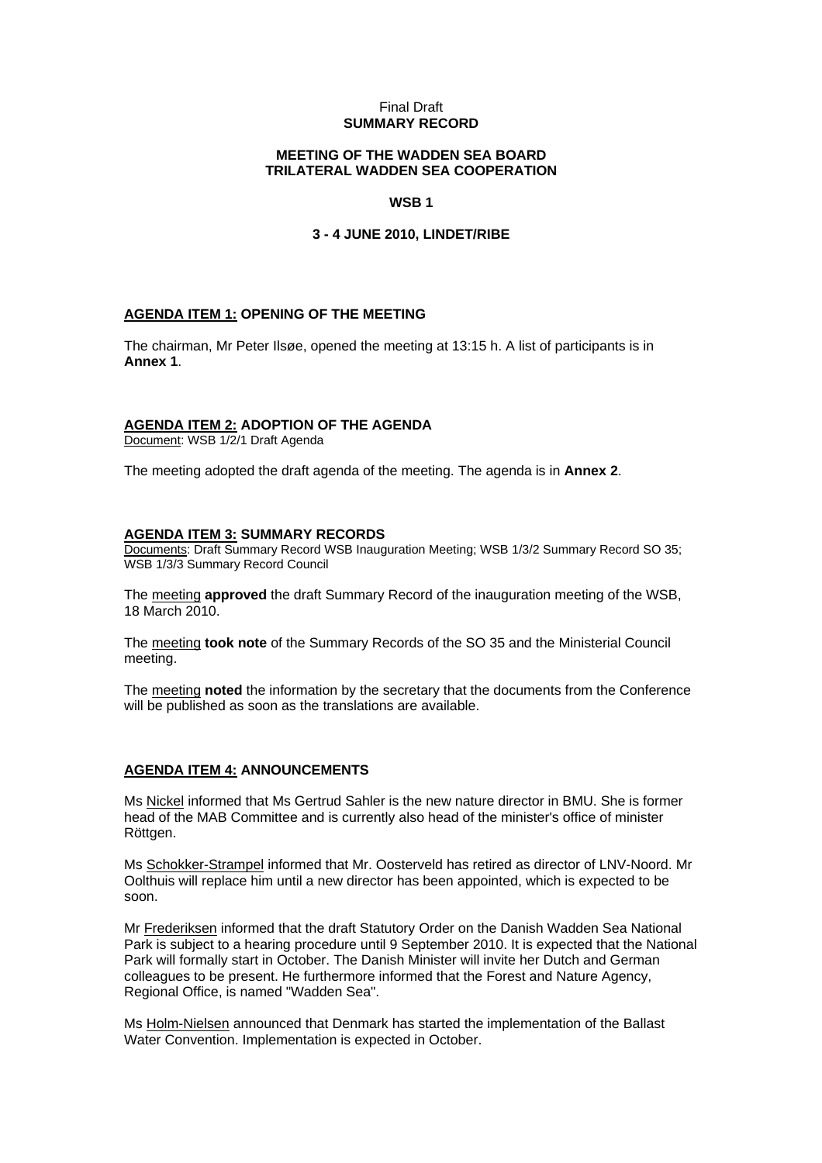#### Final Draft **SUMMARY RECORD**

## **MEETING OF THE WADDEN SEA BOARD TRILATERAL WADDEN SEA COOPERATION**

## **WSB 1**

#### **3 - 4 JUNE 2010, LINDET/RIBE**

#### **AGENDA ITEM 1: OPENING OF THE MEETING**

The chairman, Mr Peter Ilsøe, opened the meeting at 13:15 h. A list of participants is in **Annex 1**.

# **AGENDA ITEM 2: ADOPTION OF THE AGENDA**

Document: WSB 1/2/1 Draft Agenda

The meeting adopted the draft agenda of the meeting. The agenda is in **Annex 2**.

#### **AGENDA ITEM 3: SUMMARY RECORDS**

Documents: Draft Summary Record WSB Inauguration Meeting; WSB 1/3/2 Summary Record SO 35; WSB 1/3/3 Summary Record Council

The meeting **approved** the draft Summary Record of the inauguration meeting of the WSB, 18 March 2010.

The meeting **took note** of the Summary Records of the SO 35 and the Ministerial Council meeting.

The meeting **noted** the information by the secretary that the documents from the Conference will be published as soon as the translations are available.

## **AGENDA ITEM 4: ANNOUNCEMENTS**

Ms Nickel informed that Ms Gertrud Sahler is the new nature director in BMU. She is former head of the MAB Committee and is currently also head of the minister's office of minister Röttgen.

Ms Schokker-Strampel informed that Mr. Oosterveld has retired as director of LNV-Noord. Mr Oolthuis will replace him until a new director has been appointed, which is expected to be soon.

Mr Frederiksen informed that the draft Statutory Order on the Danish Wadden Sea National Park is subject to a hearing procedure until 9 September 2010. It is expected that the National Park will formally start in October. The Danish Minister will invite her Dutch and German colleagues to be present. He furthermore informed that the Forest and Nature Agency, Regional Office, is named "Wadden Sea".

Ms Holm-Nielsen announced that Denmark has started the implementation of the Ballast Water Convention. Implementation is expected in October.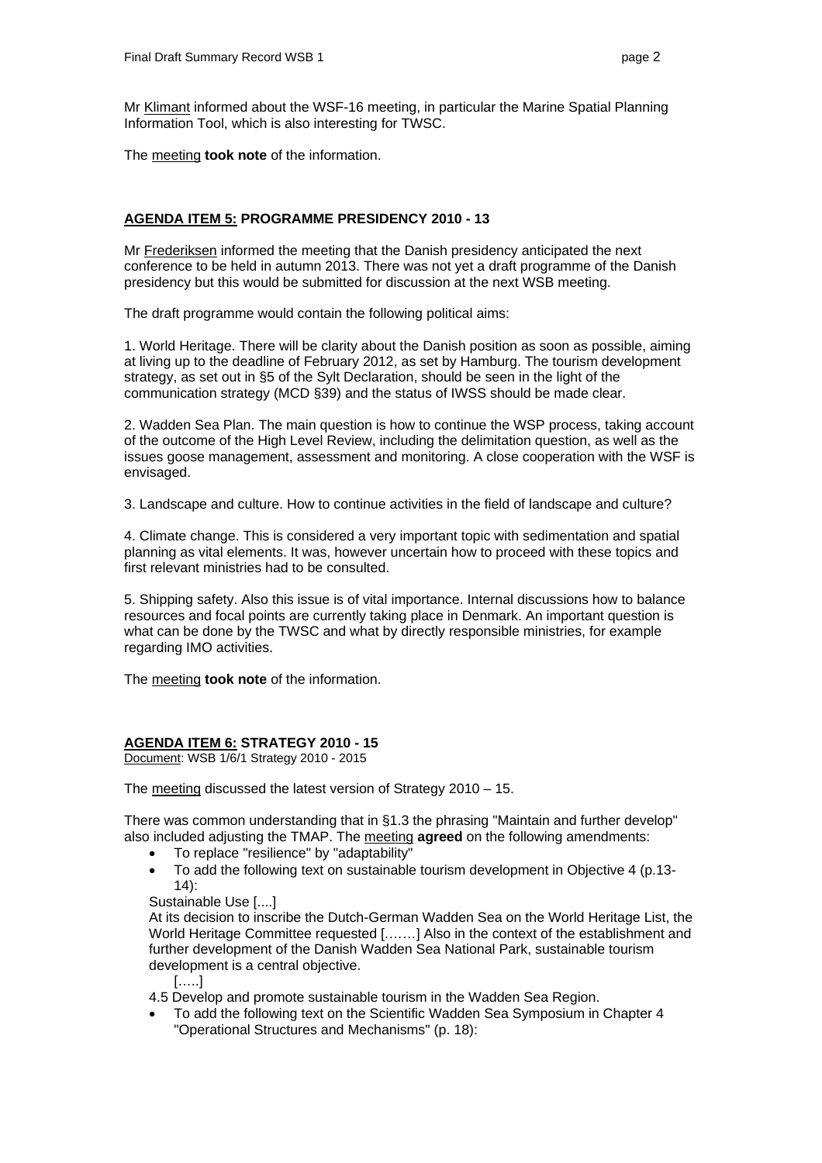Mr Klimant informed about the WSF-16 meeting, in particular the Marine Spatial Planning Information Tool, which is also interesting for TWSC.

The meeting **took note** of the information.

# **AGENDA ITEM 5: PROGRAMME PRESIDENCY 2010 - 13**

Mr Frederiksen informed the meeting that the Danish presidency anticipated the next conference to be held in autumn 2013. There was not yet a draft programme of the Danish presidency but this would be submitted for discussion at the next WSB meeting.

The draft programme would contain the following political aims:

1. World Heritage. There will be clarity about the Danish position as soon as possible, aiming at living up to the deadline of February 2012, as set by Hamburg. The tourism development strategy, as set out in §5 of the Sylt Declaration, should be seen in the light of the communication strategy (MCD §39) and the status of IWSS should be made clear.

2. Wadden Sea Plan. The main question is how to continue the WSP process, taking account of the outcome of the High Level Review, including the delimitation question, as well as the issues goose management, assessment and monitoring. A close cooperation with the WSF is envisaged.

3. Landscape and culture. How to continue activities in the field of landscape and culture?

4. Climate change. This is considered a very important topic with sedimentation and spatial planning as vital elements. It was, however uncertain how to proceed with these topics and first relevant ministries had to be consulted.

5. Shipping safety. Also this issue is of vital importance. Internal discussions how to balance resources and focal points are currently taking place in Denmark. An important question is what can be done by the TWSC and what by directly responsible ministries, for example regarding IMO activities.

The meeting **took note** of the information.

## **AGENDA ITEM 6: STRATEGY 2010 - 15**

Document: WSB 1/6/1 Strategy 2010 - 2015

The meeting discussed the latest version of Strategy 2010 – 15.

There was common understanding that in §1.3 the phrasing "Maintain and further develop" also included adjusting the TMAP. The meeting **agreed** on the following amendments:

- To replace "resilience" by "adaptability"
- To add the following text on sustainable tourism development in Objective 4 (p.13- 14):

Sustainable Use [....]

At its decision to inscribe the Dutch-German Wadden Sea on the World Heritage List, the World Heritage Committee requested [.……] Also in the context of the establishment and further development of the Danish Wadden Sea National Park, sustainable tourism development is a central objective.

[…..]

4.5 Develop and promote sustainable tourism in the Wadden Sea Region.

• To add the following text on the Scientific Wadden Sea Symposium in Chapter 4 "Operational Structures and Mechanisms" (p. 18):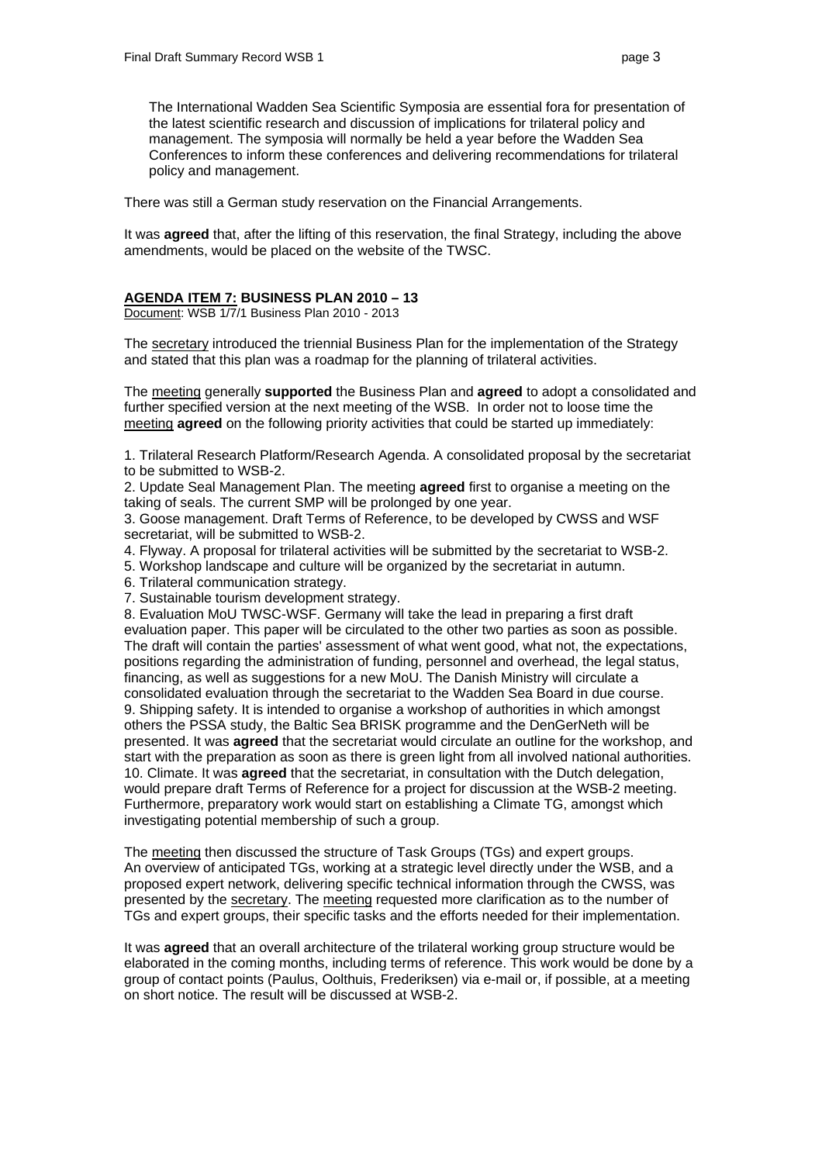The International Wadden Sea Scientific Symposia are essential fora for presentation of the latest scientific research and discussion of implications for trilateral policy and management. The symposia will normally be held a year before the Wadden Sea Conferences to inform these conferences and delivering recommendations for trilateral policy and management.

There was still a German study reservation on the Financial Arrangements.

It was **agreed** that, after the lifting of this reservation, the final Strategy, including the above amendments, would be placed on the website of the TWSC.

#### **AGENDA ITEM 7: BUSINESS PLAN 2010 – 13**

Document: WSB 1/7/1 Business Plan 2010 - 2013

The secretary introduced the triennial Business Plan for the implementation of the Strategy and stated that this plan was a roadmap for the planning of trilateral activities.

The meeting generally **supported** the Business Plan and **agreed** to adopt a consolidated and further specified version at the next meeting of the WSB. In order not to loose time the meeting **agreed** on the following priority activities that could be started up immediately:

1. Trilateral Research Platform/Research Agenda. A consolidated proposal by the secretariat to be submitted to WSB-2.

2. Update Seal Management Plan. The meeting **agreed** first to organise a meeting on the taking of seals. The current SMP will be prolonged by one year.

3. Goose management. Draft Terms of Reference, to be developed by CWSS and WSF secretariat, will be submitted to WSB-2.

- 4. Flyway. A proposal for trilateral activities will be submitted by the secretariat to WSB-2.
- 5. Workshop landscape and culture will be organized by the secretariat in autumn.
- 6. Trilateral communication strategy.

7. Sustainable tourism development strategy.

8. Evaluation MoU TWSC-WSF. Germany will take the lead in preparing a first draft evaluation paper. This paper will be circulated to the other two parties as soon as possible. The draft will contain the parties' assessment of what went good, what not, the expectations, positions regarding the administration of funding, personnel and overhead, the legal status, financing, as well as suggestions for a new MoU. The Danish Ministry will circulate a consolidated evaluation through the secretariat to the Wadden Sea Board in due course. 9. Shipping safety. It is intended to organise a workshop of authorities in which amongst others the PSSA study, the Baltic Sea BRISK programme and the DenGerNeth will be presented. It was **agreed** that the secretariat would circulate an outline for the workshop, and start with the preparation as soon as there is green light from all involved national authorities. 10. Climate. It was **agreed** that the secretariat, in consultation with the Dutch delegation, would prepare draft Terms of Reference for a project for discussion at the WSB-2 meeting. Furthermore, preparatory work would start on establishing a Climate TG, amongst which investigating potential membership of such a group.

The meeting then discussed the structure of Task Groups (TGs) and expert groups. An overview of anticipated TGs, working at a strategic level directly under the WSB, and a proposed expert network, delivering specific technical information through the CWSS, was presented by the secretary. The meeting requested more clarification as to the number of TGs and expert groups, their specific tasks and the efforts needed for their implementation.

It was **agreed** that an overall architecture of the trilateral working group structure would be elaborated in the coming months, including terms of reference. This work would be done by a group of contact points (Paulus, Oolthuis, Frederiksen) via e-mail or, if possible, at a meeting on short notice. The result will be discussed at WSB-2.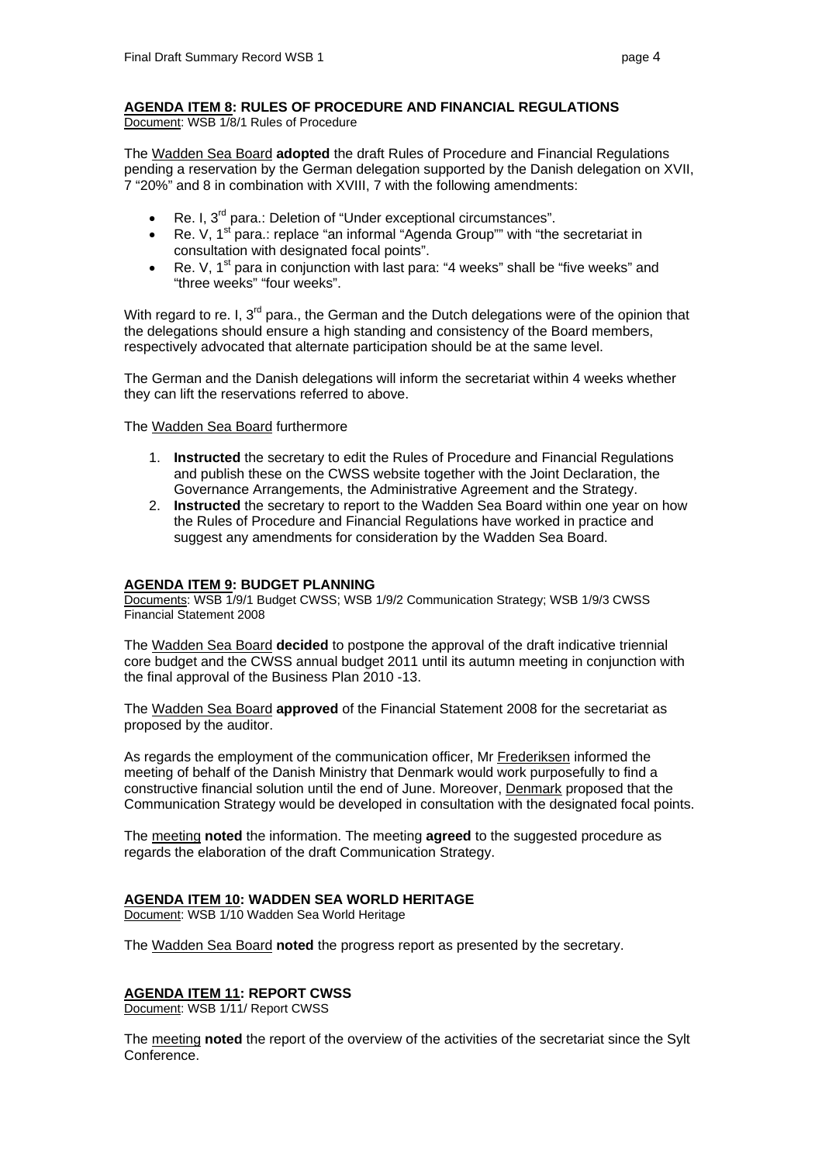Document: WSB 1/8/1 Rules of Procedure

The Wadden Sea Board **adopted** the draft Rules of Procedure and Financial Regulations pending a reservation by the German delegation supported by the Danish delegation on XVII, 7 "20%" and 8 in combination with XVIII, 7 with the following amendments:

- Re. I, 3<sup>rd</sup> para.: Deletion of "Under exceptional circumstances".
- Re. V,  $1^{st}$  para.: replace "an informal "Agenda Group"" with "the secretariat in consultation with designated focal points".
- Re. V,  $1^{st}$  para in conjunction with last para: "4 weeks" shall be "five weeks" and "three weeks" "four weeks".

With regard to re. I,  $3^{rd}$  para., the German and the Dutch delegations were of the opinion that the delegations should ensure a high standing and consistency of the Board members, respectively advocated that alternate participation should be at the same level.

The German and the Danish delegations will inform the secretariat within 4 weeks whether they can lift the reservations referred to above.

The Wadden Sea Board furthermore

- 1. **Instructed** the secretary to edit the Rules of Procedure and Financial Regulations and publish these on the CWSS website together with the Joint Declaration, the Governance Arrangements, the Administrative Agreement and the Strategy.
- 2. **Instructed** the secretary to report to the Wadden Sea Board within one year on how the Rules of Procedure and Financial Regulations have worked in practice and suggest any amendments for consideration by the Wadden Sea Board.

## **AGENDA ITEM 9: BUDGET PLANNING**

Documents: WSB 1/9/1 Budget CWSS; WSB 1/9/2 Communication Strategy; WSB 1/9/3 CWSS Financial Statement 2008

The Wadden Sea Board **decided** to postpone the approval of the draft indicative triennial core budget and the CWSS annual budget 2011 until its autumn meeting in conjunction with the final approval of the Business Plan 2010 -13.

The Wadden Sea Board **approved** of the Financial Statement 2008 for the secretariat as proposed by the auditor.

As regards the employment of the communication officer, Mr Frederiksen informed the meeting of behalf of the Danish Ministry that Denmark would work purposefully to find a constructive financial solution until the end of June. Moreover, Denmark proposed that the Communication Strategy would be developed in consultation with the designated focal points.

The meeting **noted** the information. The meeting **agreed** to the suggested procedure as regards the elaboration of the draft Communication Strategy.

## **AGENDA ITEM 10: WADDEN SEA WORLD HERITAGE**

Document: WSB 1/10 Wadden Sea World Heritage

The Wadden Sea Board **noted** the progress report as presented by the secretary.

## **AGENDA ITEM 11: REPORT CWSS**

Document: WSB 1/11/ Report CWSS

The meeting **noted** the report of the overview of the activities of the secretariat since the Sylt Conference.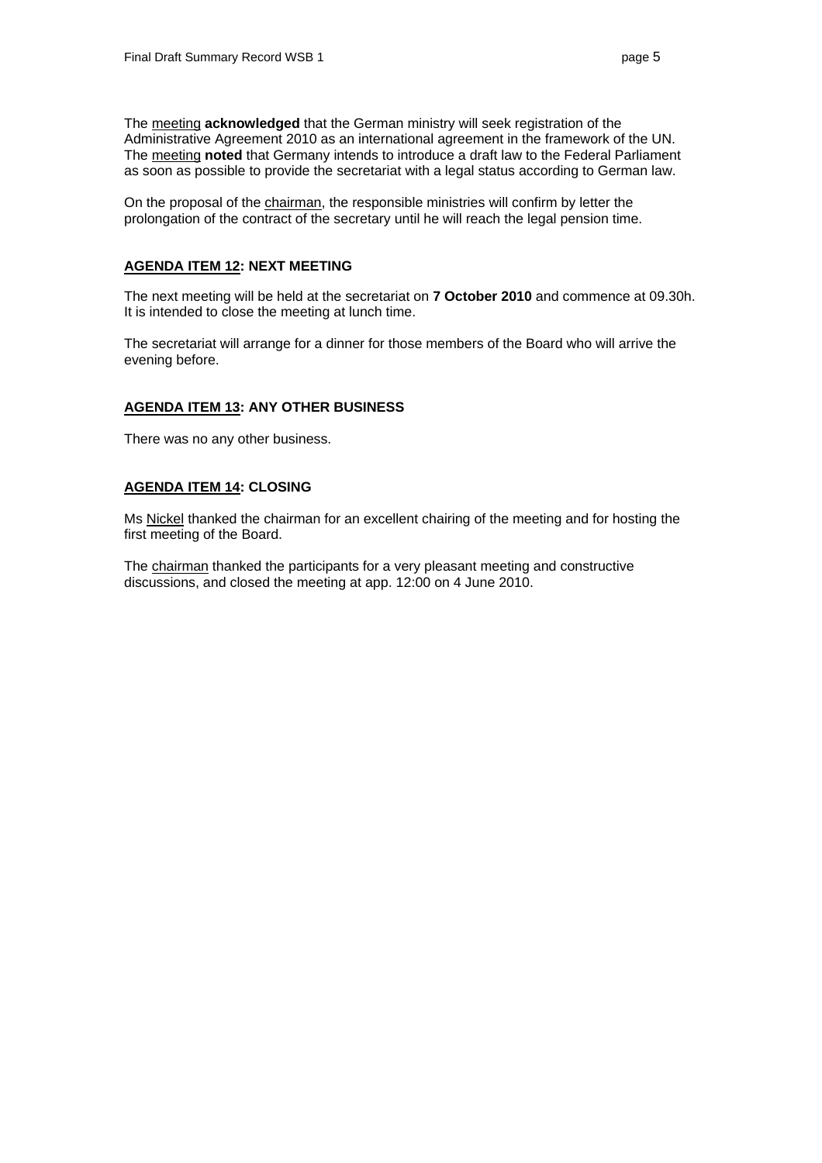The meeting **acknowledged** that the German ministry will seek registration of the Administrative Agreement 2010 as an international agreement in the framework of the UN. The meeting **noted** that Germany intends to introduce a draft law to the Federal Parliament as soon as possible to provide the secretariat with a legal status according to German law.

On the proposal of the chairman, the responsible ministries will confirm by letter the prolongation of the contract of the secretary until he will reach the legal pension time.

# **AGENDA ITEM 12: NEXT MEETING**

The next meeting will be held at the secretariat on **7 October 2010** and commence at 09.30h. It is intended to close the meeting at lunch time.

The secretariat will arrange for a dinner for those members of the Board who will arrive the evening before.

## **AGENDA ITEM 13: ANY OTHER BUSINESS**

There was no any other business.

#### **AGENDA ITEM 14: CLOSING**

Ms Nickel thanked the chairman for an excellent chairing of the meeting and for hosting the first meeting of the Board.

The chairman thanked the participants for a very pleasant meeting and constructive discussions, and closed the meeting at app. 12:00 on 4 June 2010.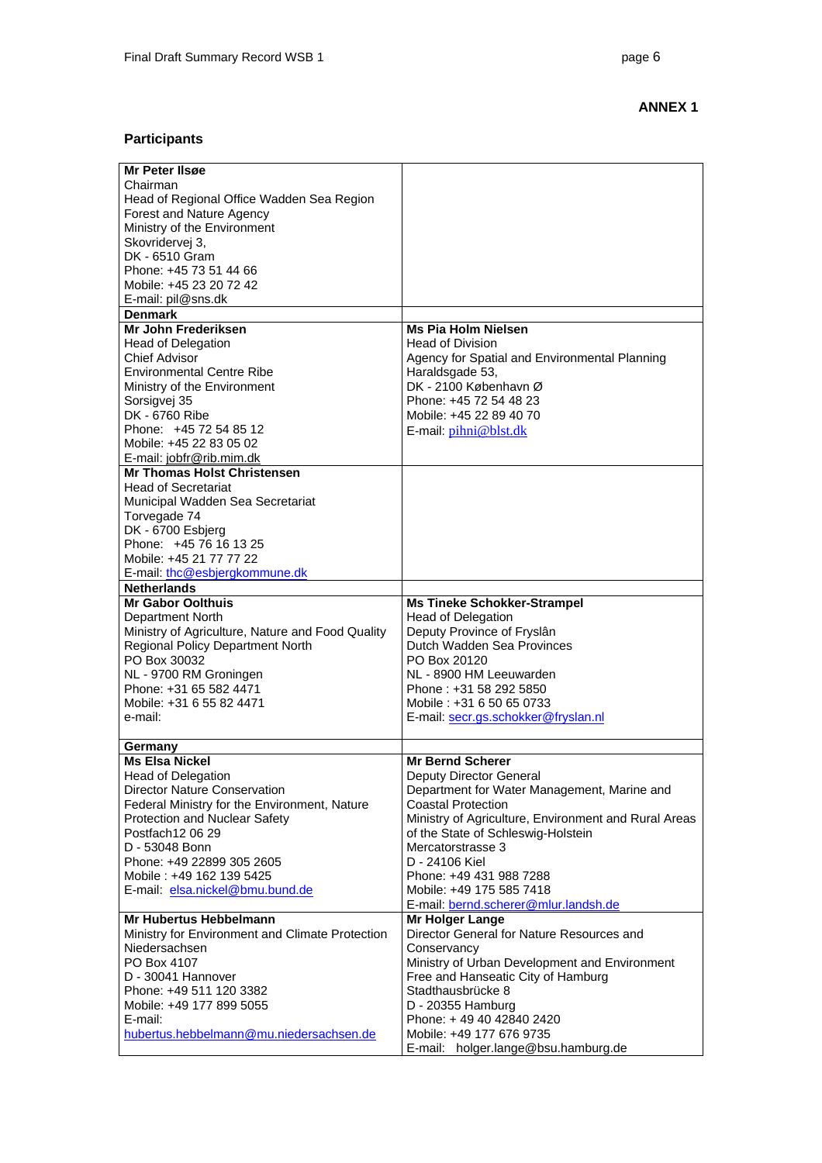# **ANNEX 1**

# **Participants**

| Mr Peter IIsøe                                   |                                                                 |
|--------------------------------------------------|-----------------------------------------------------------------|
| Chairman                                         |                                                                 |
| Head of Regional Office Wadden Sea Region        |                                                                 |
| Forest and Nature Agency                         |                                                                 |
| Ministry of the Environment                      |                                                                 |
| Skovridervej 3,                                  |                                                                 |
| DK - 6510 Gram                                   |                                                                 |
| Phone: +45 73 51 44 66                           |                                                                 |
| Mobile: +45 23 20 72 42                          |                                                                 |
|                                                  |                                                                 |
| E-mail: pil@sns.dk                               |                                                                 |
| <b>Denmark</b>                                   |                                                                 |
| Mr John Frederiksen                              | <b>Ms Pia Holm Nielsen</b>                                      |
| <b>Head of Delegation</b>                        | <b>Head of Division</b>                                         |
| <b>Chief Advisor</b>                             | Agency for Spatial and Environmental Planning                   |
| <b>Environmental Centre Ribe</b>                 | Haraldsgade 53,                                                 |
| Ministry of the Environment                      | DK - 2100 København Ø                                           |
| Sorsigvej 35                                     | Phone: +45 72 54 48 23                                          |
| DK - 6760 Ribe                                   | Mobile: +45 22 89 40 70                                         |
| Phone: +45 72 54 85 12                           | E-mail: pihni@blst.dk                                           |
| Mobile: +45 22 83 05 02                          |                                                                 |
| E-mail: jobfr@rib.mim.dk                         |                                                                 |
| <b>Mr Thomas Holst Christensen</b>               |                                                                 |
| <b>Head of Secretariat</b>                       |                                                                 |
|                                                  |                                                                 |
| Municipal Wadden Sea Secretariat                 |                                                                 |
| Torvegade 74                                     |                                                                 |
| DK - 6700 Esbjerg                                |                                                                 |
| Phone: +45 76 16 13 25                           |                                                                 |
| Mobile: +45 21 77 77 22                          |                                                                 |
| E-mail: thc@esbjergkommune.dk                    |                                                                 |
| <b>Netherlands</b>                               |                                                                 |
| <b>Mr Gabor Oolthuis</b>                         | <b>Ms Tineke Schokker-Strampel</b>                              |
| Department North                                 | Head of Delegation                                              |
| Ministry of Agriculture, Nature and Food Quality | Deputy Province of Fryslân                                      |
| <b>Regional Policy Department North</b>          | Dutch Wadden Sea Provinces                                      |
| PO Box 30032                                     | PO Box 20120                                                    |
| NL - 9700 RM Groningen                           | NL - 8900 HM Leeuwarden                                         |
| Phone: +31 65 582 4471                           | Phone: +31 58 292 5850                                          |
| Mobile: +31 6 55 82 4471                         | Mobile: +31 6 50 65 0733                                        |
| e-mail:                                          | E-mail: secr.gs.schokker@fryslan.nl                             |
|                                                  |                                                                 |
|                                                  |                                                                 |
| Germany                                          |                                                                 |
| <b>Ms Elsa Nickel</b>                            | <b>Mr Bernd Scherer</b>                                         |
| <b>Head of Delegation</b>                        | Deputy Director General                                         |
| Director Nature Conservation                     | Department for Water Management, Marine and                     |
| Federal Ministry for the Environment, Nature     | <b>Coastal Protection</b>                                       |
| Protection and Nuclear Safety                    | Ministry of Agriculture, Environment and Rural Areas            |
| Postfach12 06 29                                 | of the State of Schleswig-Holstein                              |
| D - 53048 Bonn                                   | Mercatorstrasse 3                                               |
| Phone: +49 22899 305 2605                        | D - 24106 Kiel                                                  |
| Mobile: +49 162 139 5425                         | Phone: +49 431 988 7288                                         |
| E-mail: elsa.nickel@bmu.bund.de                  | Mobile: +49 175 585 7418                                        |
|                                                  | E-mail: bernd.scherer@mlur.landsh.de                            |
| Mr Hubertus Hebbelmann                           | <b>Mr Holger Lange</b>                                          |
| Ministry for Environment and Climate Protection  | Director General for Nature Resources and                       |
| Niedersachsen                                    | Conservancy                                                     |
| PO Box 4107                                      | Ministry of Urban Development and Environment                   |
| D - 30041 Hannover                               |                                                                 |
| Phone: +49 511 120 3382                          | Free and Hanseatic City of Hamburg<br>Stadthausbrücke 8         |
|                                                  | D - 20355 Hamburg                                               |
| Mobile: +49 177 899 5055                         |                                                                 |
|                                                  |                                                                 |
| E-mail:                                          | Phone: +49 40 42840 2420                                        |
| hubertus.hebbelmann@mu.niedersachsen.de          | Mobile: +49 177 676 9735<br>E-mail: holger.lange@bsu.hamburg.de |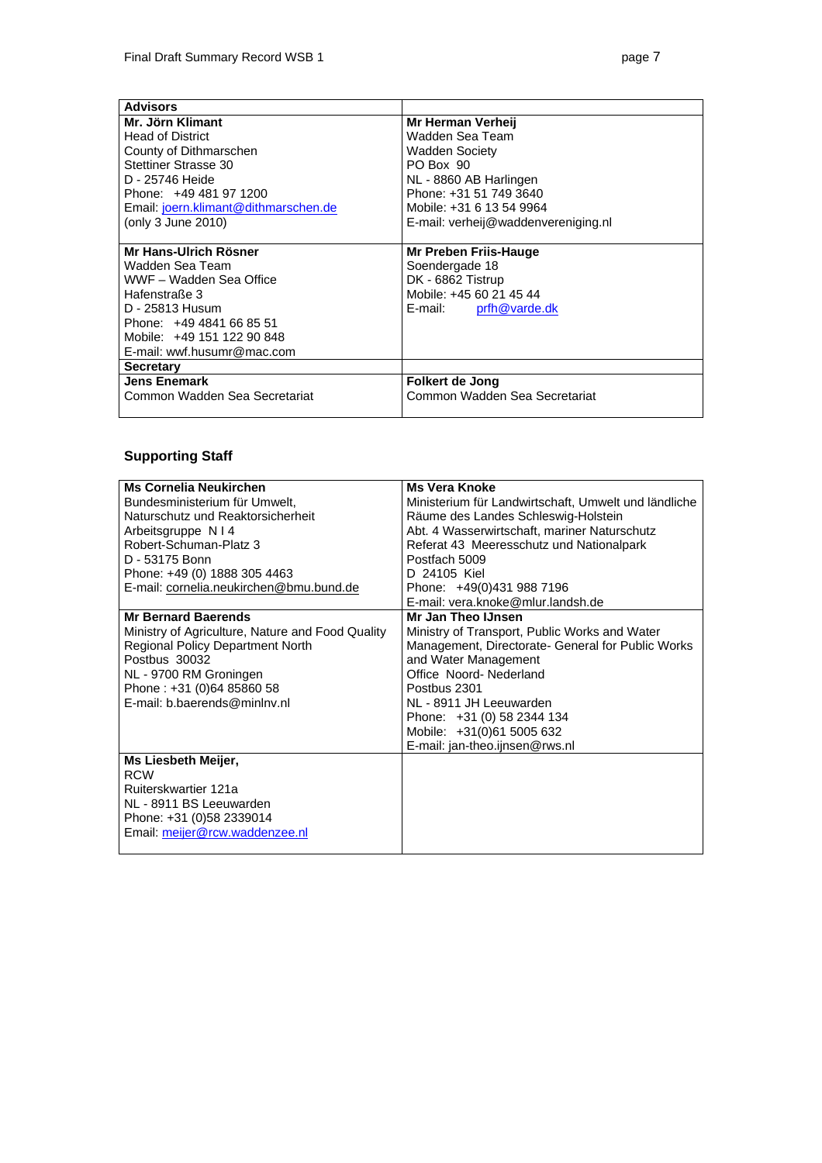| <b>Advisors</b>                      |                                     |
|--------------------------------------|-------------------------------------|
| Mr. Jörn Klimant                     | Mr Herman Verheii                   |
| <b>Head of District</b>              | Wadden Sea Team                     |
| County of Dithmarschen               | Wadden Society                      |
| <b>Stettiner Strasse 30</b>          | PO Box 90                           |
| D - 25746 Heide                      | NL - 8860 AB Harlingen              |
| Phone: +49 481 97 1200               | Phone: +31 51 749 3640              |
| Email: joern.klimant@dithmarschen.de | Mobile: +31 6 13 54 9964            |
| (only 3 June 2010)                   | E-mail: verheij@waddenvereniging.nl |
|                                      |                                     |
| Mr Hans-Ulrich Rösner                | Mr Preben Friis-Hauge               |
| Wadden Sea Team                      | Soendergade 18                      |
| WWF - Wadden Sea Office              | DK - 6862 Tistrup                   |
| Hafenstraße 3                        | Mobile: +45 60 21 45 44             |
| D - 25813 Husum                      | E-mail: prfh@varde.dk               |
| Phone: +49 4841 66 85 51             |                                     |
| Mobile: +49 151 122 90 848           |                                     |
| E-mail: wwf.husumr@mac.com           |                                     |
| <b>Secretary</b>                     |                                     |
| <b>Jens Enemark</b>                  | Folkert de Jong                     |
| Common Wadden Sea Secretariat        | Common Wadden Sea Secretariat       |
|                                      |                                     |

# **Supporting Staff**

| <b>Ms Cornelia Neukirchen</b>                    | <b>Ms Vera Knoke</b>                                 |
|--------------------------------------------------|------------------------------------------------------|
| Bundesministerium für Umwelt,                    | Ministerium für Landwirtschaft, Umwelt und ländliche |
| Naturschutz und Reaktorsicherheit                | Räume des Landes Schleswig-Holstein                  |
| Arbeitsgruppe N   4                              | Abt. 4 Wasserwirtschaft, mariner Naturschutz         |
| Robert-Schuman-Platz 3                           | Referat 43 Meeresschutz und Nationalpark             |
| D - 53175 Bonn                                   | Postfach 5009                                        |
| Phone: +49 (0) 1888 305 4463                     | D 24105 Kiel                                         |
| E-mail: cornelia.neukirchen@bmu.bund.de          | Phone: +49(0)431 988 7196                            |
|                                                  | E-mail: vera.knoke@mlur.landsh.de                    |
| <b>Mr Bernard Baerends</b>                       | Mr Jan Theo IJnsen                                   |
| Ministry of Agriculture, Nature and Food Quality | Ministry of Transport, Public Works and Water        |
| <b>Regional Policy Department North</b>          | Management, Directorate- General for Public Works    |
| Postbus 30032                                    | and Water Management                                 |
| NL - 9700 RM Groningen                           | Office Noord-Nederland                               |
| Phone: +31 (0)64 85860 58                        | Postbus 2301                                         |
| E-mail: b.baerends@minlny.nl                     | NL - 8911 JH Leeuwarden                              |
|                                                  | Phone: +31 (0) 58 2344 134                           |
|                                                  | Mobile: +31(0)61 5005 632                            |
|                                                  | E-mail: jan-theo.ijnsen@rws.nl                       |
| Ms Liesbeth Meijer,                              |                                                      |
| <b>RCW</b>                                       |                                                      |
| Ruiterskwartier 121a                             |                                                      |
| NL - 8911 BS Leeuwarden                          |                                                      |
| Phone: +31 (0)58 2339014                         |                                                      |
| Email: meijer@rcw.waddenzee.nl                   |                                                      |
|                                                  |                                                      |